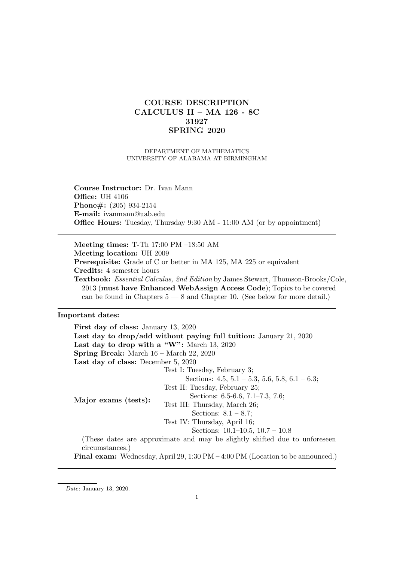# COURSE DESCRIPTION CALCULUS II – MA 126 - 8C 31927 SPRING 2020

DEPARTMENT OF MATHEMATICS UNIVERSITY OF ALABAMA AT BIRMINGHAM

Course Instructor: Dr. Ivan Mann Office: UH 4106 Phone#: (205) 934-2154 E-mail: ivanmann@uab.edu Office Hours: Tuesday, Thursday 9:30 AM - 11:00 AM (or by appointment)

Meeting times: T-Th 17:00 PM –18:50 AM Meeting location: UH 2009 Prerequisite: Grade of C or better in MA 125, MA 225 or equivalent Credits: 4 semester hours Textbook: Essential Calculus, 2nd Edition by James Stewart, Thomson-Brooks/Cole, 2013 (must have Enhanced WebAssign Access Code); Topics to be covered can be found in Chapters  $5 - 8$  and Chapter 10. (See below for more detail.)

#### Important dates:

First day of class: January 13, 2020 Last day to drop/add without paying full tuition: January 21, 2020 Last day to drop with a "W": March 13, 2020 Spring Break: March 16 – March 22, 2020 Last day of class: December 5, 2020 Major exams (tests): Test I: Tuesday, February 3; Sections: 4.5, 5.1 – 5.3, 5.6, 5.8, 6.1 – 6.3; Test II: Tuesday, February 25; Sections: 6.5-6.6, 7.1–7.3, 7.6; Test III: Thursday, March 26; Sections: 8.1 – 8.7; Test IV: Thursday, April 16; Sections: 10.1–10.5, 10.7 – 10.8 (These dates are approximate and may be slightly shifted due to unforeseen circumstances.) Final exam: Wednesday, April 29, 1:30 PM – 4:00 PM (Location to be announced.)

Date: January 13, 2020.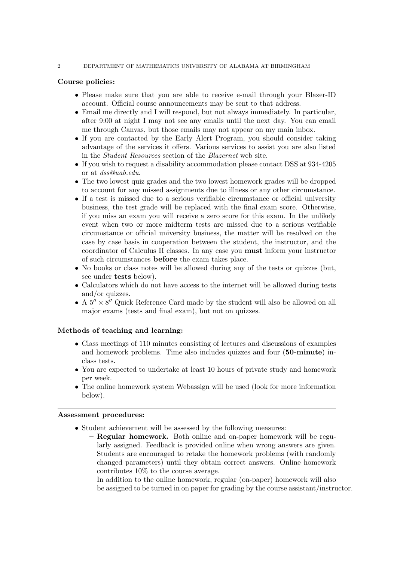#### 2 DEPARTMENT OF MATHEMATICS UNIVERSITY OF ALABAMA AT BIRMINGHAM

## Course policies:

- Please make sure that you are able to receive e-mail through your Blazer-ID account. Official course announcements may be sent to that address.
- Email me directly and I will respond, but not always immediately. In particular, after 9:00 at night I may not see any emails until the next day. You can email me through Canvas, but those emails may not appear on my main inbox.
- If you are contacted by the Early Alert Program, you should consider taking advantage of the services it offers. Various services to assist you are also listed in the Student Resources section of the Blazernet web site.
- If you wish to request a disability accommodation please contact DSS at 934-4205 or at dss@uab.edu.
- The two lowest quiz grades and the two lowest homework grades will be dropped to account for any missed assignments due to illness or any other circumstance.
- If a test is missed due to a serious verifiable circumstance or official university business, the test grade will be replaced with the final exam score. Otherwise, if you miss an exam you will receive a zero score for this exam. In the unlikely event when two or more midterm tests are missed due to a serious verifiable circumstance or official university business, the matter will be resolved on the case by case basis in cooperation between the student, the instructor, and the coordinator of Calculus II classes. In any case you must inform your instructor of such circumstances before the exam takes place.
- No books or class notes will be allowed during any of the tests or quizzes (but, see under tests below).
- Calculators which do not have access to the internet will be allowed during tests and/or quizzes.
- A  $5'' \times 8''$  Quick Reference Card made by the student will also be allowed on all major exams (tests and final exam), but not on quizzes.

#### Methods of teaching and learning:

- Class meetings of 110 minutes consisting of lectures and discussions of examples and homework problems. Time also includes quizzes and four (50-minute) inclass tests.
- You are expected to undertake at least 10 hours of private study and homework per week.
- The online homework system Webassign will be used (look for more information below).

#### Assessment procedures:

- Student achievement will be assessed by the following measures:
	- Regular homework. Both online and on-paper homework will be regularly assigned. Feedback is provided online when wrong answers are given. Students are encouraged to retake the homework problems (with randomly changed parameters) until they obtain correct answers. Online homework contributes 10% to the course average.

In addition to the online homework, regular (on-paper) homework will also be assigned to be turned in on paper for grading by the course assistant/instructor.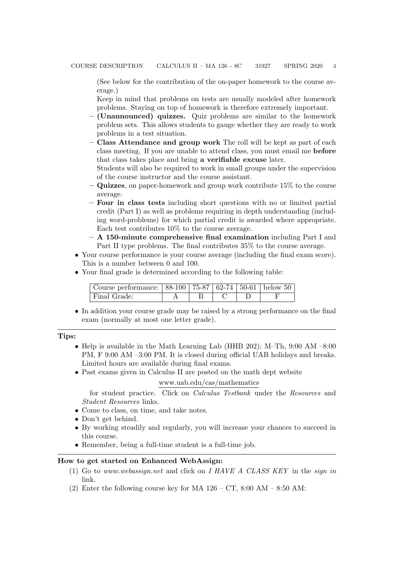(See below for the contribution of the on-paper homework to the course average.)

Keep in mind that problems on tests are usually modeled after homework problems. Staying on top of homework is therefore extremely important.

- (Unannounced) quizzes. Quiz problems are similar to the homework problem sets. This allows students to gauge whether they are ready to work problems in a test situation.
- Class Attendance and group work The roll will be kept as part of each class meeting. If you are unable to attend class, you must email me before that class takes place and bring a verifiable excuse later.

Students will also be required to work in small groups under the supervision of the course instructor and the course assistant.

- $-$  Quizzes, on paper-homework and group work contribute 15% to the course average.
- Four in class tests including short questions with no or limited partial credit (Part I) as well as problems requiring in depth understanding (including word-problems) for which partial credit is awarded where appropriate. Each test contributes 10% to the course average.
- A 150-minute comprehensive final examination including Part I and Part II type problems. The final contributes 35% to the course average.
- Your course performance is your course average (including the final exam score). This is a number between 0 and 100.
- Your final grade is determined according to the following table:

| Course performance: $  88-100   75-87   62-74   50-61  $ below 50 |  |  |  |
|-------------------------------------------------------------------|--|--|--|
| Final Grade:                                                      |  |  |  |

• In addition your course grade may be raised by a strong performance on the final exam (normally at most one letter grade).

Tips:

- Help is available in the Math Learning Lab (HHB 202); M–Th, 9:00 AM –8:00 PM, F 9:00 AM –3:00 PM. It is closed during official UAB holidays and breaks. Limited hours are available during final exams.
- Past exams given in Calculus II are posted on the math dept website

### www.uab.edu/cas/mathematics

for student practice. Click on Calculus Testbank under the Resources and Student Resources links.

- Come to class, on time, and take notes.
- Don't get behind.
- By working steadily and regularly, you will increase your chances to succeed in this course.
- Remember, being a full-time student is a full-time job.

#### How to get started on Enhanced WebAssign:

- (1) Go to www.webassign.net and click on I HAVE A CLASS KEY in the sign in link.
- (2) Enter the following course key for MA  $126 CT$ , 8:00 AM 8:50 AM: